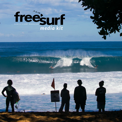

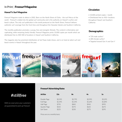## In Print | Freesurf Magazine

#### Hawai'i's Surf Magazine

Freesurf Magazine made its debut in 2002. Born on the North Shore of O'ahu - the surf Mecca of the world - Freesurf is dialed into the global surf community and is the authority on Hawai'i's surfers and beach culture. The only surf publication in the world produced on the North Shore, Freesurf delivers authentic surf coverage from the front lines and throughout the Hawaiian Islands and Southern California.

The monthly publication promotes a young, free and energetic lifestyle. The content is informative and captivating, while remaining family friendly. Freesurf Magazine prints 10,000 copies per month which are distributed free to 400-500 of locations in Hawai'i and Southern California.

The magazine also has prominent distribution at Surf Expo trade shows, and is on hand at select surf and beach events in Hawai'i throughout the year.

#### **Circulation**

• 10,000 printed copies / month

• Distributed free to 450+ locations throughout Hawai'i and Southern California

#### **Demographics**

- 72% male surfers\*
- 28% female surfers\*
- Targeted toward Gen X and Gen Y



# *#stillfree*

*With no cover price your customers are guaranteed to pick up Freesurf.*

#### Freesurf Advertising Rates

| <b>Ad Size</b> | 12x     | 8x      | 4x      | 1x      |
|----------------|---------|---------|---------|---------|
| Double Page    | \$2.595 | \$2.795 | \$2.995 | \$3,295 |
| Full Page      | \$1,495 | \$1,595 | \$1,695 | \$1,895 |
| Half Page      | \$795   | \$845   | \$945   | \$995   |
| Quarter Page   | \$525   | \$575   | \$625   | \$675   |
| Surf Saver     | \$225   | \$250   | \$275   | \$295   |
|                |         |         |         |         |

*Prices are on a monthly basis.*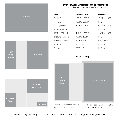

inward to edge of the magazine

Ads with bleed extend .25" past the edge of the magazine

For advertising inquiries please call our office at (808) 638-7395 or email **ml@freesurfmagazine.com**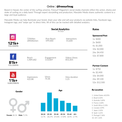## Online | @freesurfmag

Based in Hawaii, the center of the surfing universe, Freesurf Magazine's social media channels reflect the action, drama and stoke of surfing on a daily basis! Through expert storytelling and production, Manulele Media shares authentic content to a large and loyal audience.

Manulele Media can help illuminate your brand, share your vibe and sell your products via website links, Facebook tags, lnstagram tags, and "swipe ups" to direct links. All of this can be tracked with detailed analytics.

|                                                               |                       | <b>Social Analytics</b><br>90 Days   | <b>Rates</b>                                                |                                                                                                                                                                                                        |
|---------------------------------------------------------------|-----------------------|--------------------------------------|-------------------------------------------------------------|--------------------------------------------------------------------------------------------------------------------------------------------------------------------------------------------------------|
| $\boldsymbol{\mathbf{\Theta}}$<br>$121k+$<br><b>FOLLOWERS</b> | 72%Men<br>28%Women    | Post Reach<br>599,000                | Interactions<br>55,600                                      | <b>Sponsored Post</b><br>1x: \$400<br>2x: \$600<br>4x: \$1,000<br>10x: \$2,000                                                                                                                         |
| 81k+<br><b>FOLLOWERS</b>                                      | Reach<br>1,489,682    | Engagement<br>113,069                | <b>Videos Views</b><br>853,305                              | 26x: \$4,450<br>52x: \$7,800                                                                                                                                                                           |
| You<br><b>Tube</b><br>11k+<br><b>SUBSCRIBERS</b>              | Impressions<br>422.8K | Views<br>74.4K                       | View duration<br>1:25                                       | <b>Partner Content</b><br>1x: \$750<br>4x: \$2,400<br>10x: \$4,000<br>26x: \$9,100<br>52x: \$12,500                                                                                                    |
| <b>Gender</b>                                                 |                       |                                      | Age                                                         | <b>By Location</b>                                                                                                                                                                                     |
| <b>Female 28.1% Male 71.9%</b>                                |                       | 25-34<br>$35 - 44$<br>18-24<br>13.7% | 45-54<br>55-65<br>$65+$<br>28.27% 29.03% 17.09% 18.9% 2.77% | 1. United States 60.05%<br>2. Brazil 6.02%<br>3. Australia 5.89%<br>4. France 2.60%<br>5. South Africa 2.33%<br>6. Canada 2.09%<br>7. Japan 2.02%<br>8. Spain 1.61%<br>9. Portugal 1.36%<br>10 UK 132% |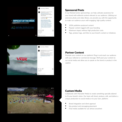



clesig + Following





### Sponsored Posts

In our themed series sponsorships, we help cultivate awareness for your brand with editorial content relevant to our audience. Utilizing our extensive photo and video library, we provide you with the opportunity to make our audience yours with engaging, high quality content.

- 100% publisher-produced content
- Popular content tagged with your branding
- Maximum impact without high production costs
- Tags, product tags, and links to your brand's content or initiatives

#### Partner Content

Promote your content on our platform! Plug in and reach our audience with your editorial or commercial message. We'll post your content to our social media and allow you to speak on the brand or product in the caption.

## Custom Media

Collaborate with Manulele Media to create something specially tailored to fit your brand's vision. Our team will shoot, produce, edit, and deliver a unique production to social media or to your own, platform.

- Brand integration and client approval
- Key product and messaging placement
- Final media available for use almost anywhere